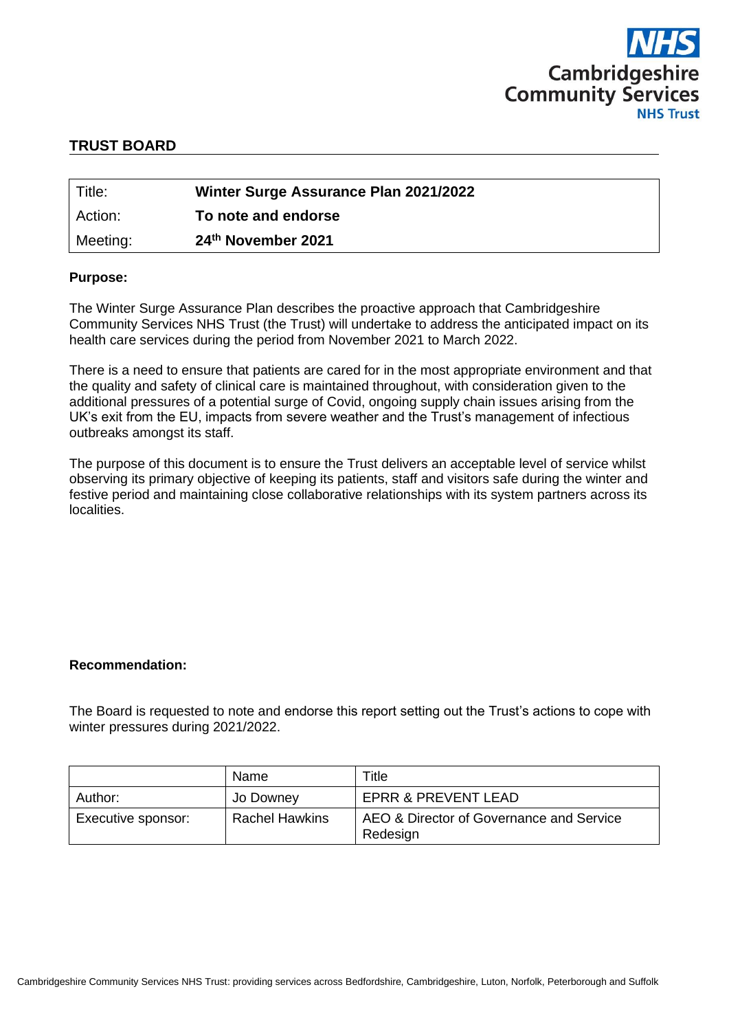

# **TRUST BOARD**

| Title:   | Winter Surge Assurance Plan 2021/2022 |
|----------|---------------------------------------|
| Action:  | To note and endorse                   |
| Meeting: | 24th November 2021                    |

#### **Purpose:**

The Winter Surge Assurance Plan describes the proactive approach that Cambridgeshire Community Services NHS Trust (the Trust) will undertake to address the anticipated impact on its health care services during the period from November 2021 to March 2022.

There is a need to ensure that patients are cared for in the most appropriate environment and that the quality and safety of clinical care is maintained throughout, with consideration given to the additional pressures of a potential surge of Covid, ongoing supply chain issues arising from the UK's exit from the EU, impacts from severe weather and the Trust's management of infectious outbreaks amongst its staff.

The purpose of this document is to ensure the Trust delivers an acceptable level of service whilst observing its primary objective of keeping its patients, staff and visitors safe during the winter and festive period and maintaining close collaborative relationships with its system partners across its localities.

### **Recommendation:**

The Board is requested to note and endorse this report setting out the Trust's actions to cope with winter pressures during 2021/2022.

|                    | Name                  | Title                                                |
|--------------------|-----------------------|------------------------------------------------------|
| Author:            | Jo Downey             | EPRR & PREVENT LEAD                                  |
| Executive sponsor: | <b>Rachel Hawkins</b> | AEO & Director of Governance and Service<br>Redesign |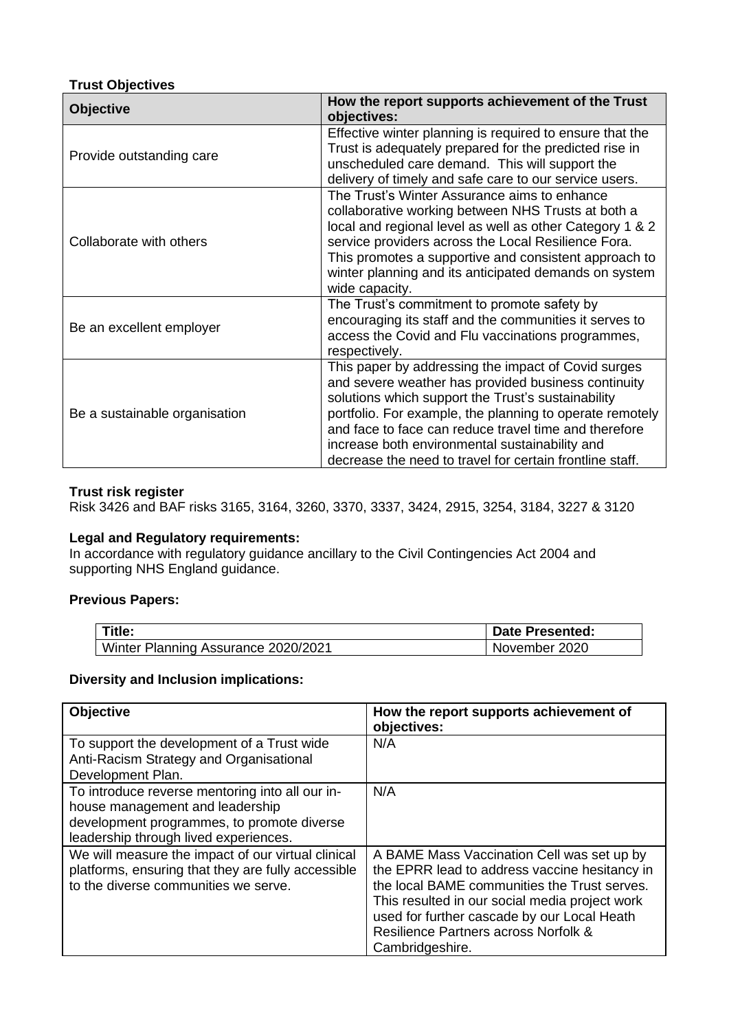## **Trust Objectives**

| <b>Objective</b>              | How the report supports achievement of the Trust<br>objectives:                                                                                                                                                                                                                                                                                                                                     |  |  |  |  |
|-------------------------------|-----------------------------------------------------------------------------------------------------------------------------------------------------------------------------------------------------------------------------------------------------------------------------------------------------------------------------------------------------------------------------------------------------|--|--|--|--|
| Provide outstanding care      | Effective winter planning is required to ensure that the<br>Trust is adequately prepared for the predicted rise in<br>unscheduled care demand. This will support the<br>delivery of timely and safe care to our service users.                                                                                                                                                                      |  |  |  |  |
| Collaborate with others       | The Trust's Winter Assurance aims to enhance<br>collaborative working between NHS Trusts at both a<br>local and regional level as well as other Category 1 & 2<br>service providers across the Local Resilience Fora.<br>This promotes a supportive and consistent approach to<br>winter planning and its anticipated demands on system<br>wide capacity.                                           |  |  |  |  |
| Be an excellent employer      | The Trust's commitment to promote safety by<br>encouraging its staff and the communities it serves to<br>access the Covid and Flu vaccinations programmes,<br>respectively.                                                                                                                                                                                                                         |  |  |  |  |
| Be a sustainable organisation | This paper by addressing the impact of Covid surges<br>and severe weather has provided business continuity<br>solutions which support the Trust's sustainability<br>portfolio. For example, the planning to operate remotely<br>and face to face can reduce travel time and therefore<br>increase both environmental sustainability and<br>decrease the need to travel for certain frontline staff. |  |  |  |  |

## **Trust risk register**

Risk 3426 and BAF risks 3165, 3164, 3260, 3370, 3337, 3424, 2915, 3254, 3184, 3227 & 3120

### **Legal and Regulatory requirements:**

In accordance with regulatory guidance ancillary to the Civil Contingencies Act 2004 and supporting NHS England guidance.

### **Previous Papers:**

| Title:                              | <b>Date Presented:</b> |
|-------------------------------------|------------------------|
| Winter Planning Assurance 2020/2021 | November 2020          |

### **Diversity and Inclusion implications:**

| <b>Objective</b>                                                                                                                                                          | How the report supports achievement of<br>objectives:                                                                                                                                                                                                                                                   |
|---------------------------------------------------------------------------------------------------------------------------------------------------------------------------|---------------------------------------------------------------------------------------------------------------------------------------------------------------------------------------------------------------------------------------------------------------------------------------------------------|
| To support the development of a Trust wide<br>Anti-Racism Strategy and Organisational<br>Development Plan.                                                                | N/A                                                                                                                                                                                                                                                                                                     |
| To introduce reverse mentoring into all our in-<br>house management and leadership<br>development programmes, to promote diverse<br>leadership through lived experiences. | N/A                                                                                                                                                                                                                                                                                                     |
| We will measure the impact of our virtual clinical<br>platforms, ensuring that they are fully accessible<br>to the diverse communities we serve.                          | A BAME Mass Vaccination Cell was set up by<br>the EPRR lead to address vaccine hesitancy in<br>the local BAME communities the Trust serves.<br>This resulted in our social media project work<br>used for further cascade by our Local Heath<br>Resilience Partners across Norfolk &<br>Cambridgeshire. |